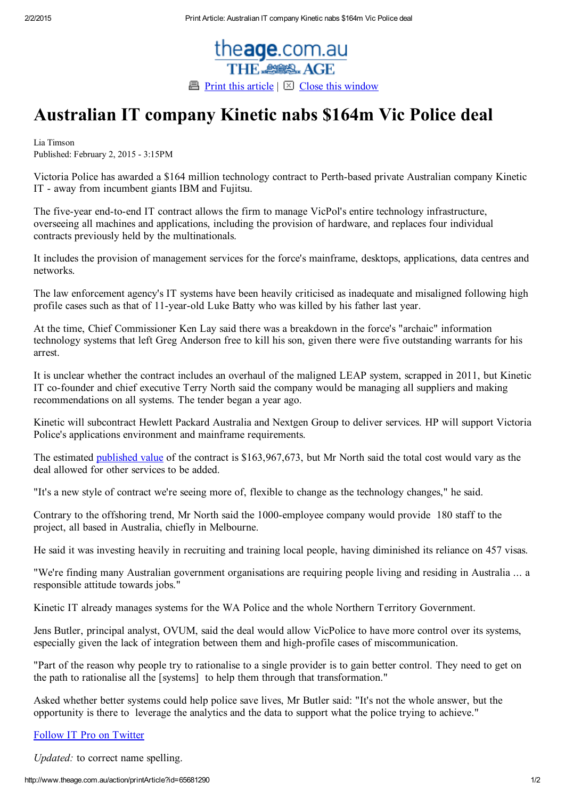

## Australian IT company Kinetic nabs \$164m Vic Police deal

Lia Timson Published: February 2, 2015 - 3:15PM

Victoria Police has awarded a \$164 million technology contract to Perth-based private Australian company Kinetic IT - away from incumbent giants IBM and Fujitsu.

The five-year end-to-end IT contract allows the firm to manage VicPol's entire technology infrastructure, overseeing all machines and applications, including the provision of hardware, and replaces four individual contracts previously held by the multinationals.

It includes the provision of management services for the force's mainframe, desktops, applications, data centres and networks.

The law enforcement agency's IT systems have been heavily criticised as inadequate and misaligned following high profile cases such as that of 11-year-old Luke Batty who was killed by his father last year.

At the time, Chief Commissioner Ken Lay said there was a breakdown in the force's "archaic" information technology systems that left Greg Anderson free to kill his son, given there were five outstanding warrants for his arrest.

It is unclear whether the contract includes an overhaul of the maligned LEAP system, scrapped in 2011, but Kinetic IT co-founder and chief executive Terry North said the company would be managing all suppliers and making recommendations on all systems. The tender began a year ago.

Kinetic will subcontract Hewlett Packard Australia and Nextgen Group to deliver services. HP will support Victoria Police's applications environment and mainframe requirements.

The estimated [published](https://www.tenders.vic.gov.au/tenders/contract/view.do?id=22235&returnUrl=%252Fcontract%252Flist.do%253FshowSearch%253Dfalse%2526amp%253Baction%253Dcontract-search-submit%2526amp%253BissuingBusinessId%253D39%2526amp%253BissuingBusinessIdForSort%253D39%2526amp%253BawardDateFromString%253D02%252F11%252F2014) value of the contract is \$163,967,673, but Mr North said the total cost would vary as the deal allowed for other services to be added.

"It's a new style of contract we're seeing more of, flexible to change as the technology changes," he said.

Contrary to the offshoring trend, Mr North said the 1000-employee company would provide 180 staff to the project, all based in Australia, chiefly in Melbourne.

He said it was investing heavily in recruiting and training local people, having diminished its reliance on 457 visas.

"We're finding many Australian government organisations are requiring people living and residing in Australia ... a responsible attitude towards jobs."

Kinetic IT already manages systems for the WA Police and the whole Northern Territory Government.

Jens Butler, principal analyst, OVUM, said the deal would allow VicPolice to have more control over its systems, especially given the lack of integration between them and high-profile cases of miscommunication.

"Part of the reason why people try to rationalise to a single provider is to gain better control. They need to get on the path to rationalise all the [systems] to help them through that transformation."

Asked whether better systems could help police save lives, Mr Butler said: "It's not the whole answer, but the opportunity is there to leverage the analytics and the data to support what the police trying to achieve."

## Follow IT Pro on [Twitter](http://www.smh.com.au/it-pro/security-it/twitter.com/itpro_au)

Updated: to correct name spelling.